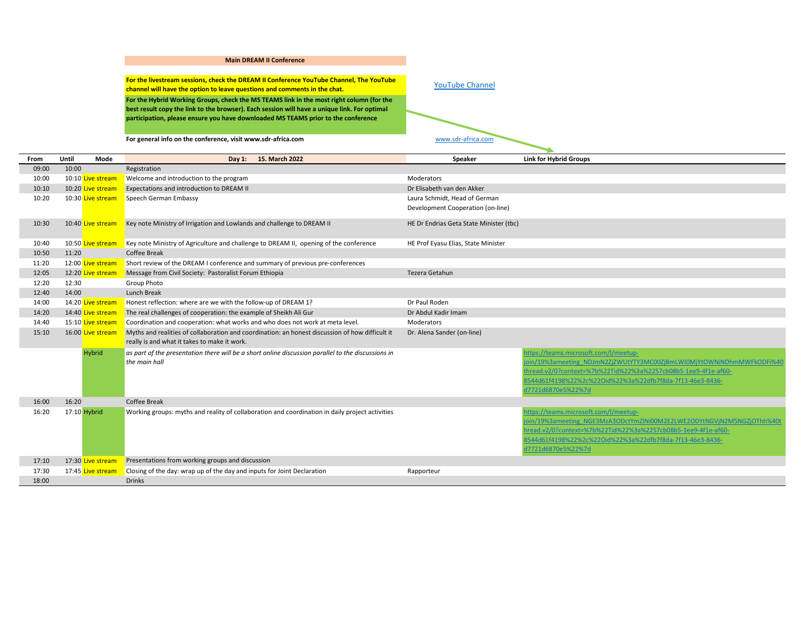## **Main DREAM II Conference**

**For the livestream sessions, check the DREAM II Conference YouTube Channel, The YouTube For the Ilvestream sessions, check the DREAM II Conference [YouTube Channel](https://www.youtube.com/channel/UCCjegk5-nU328YlLyAXN3VA), The YouTube**<br>**channel will have the option to leave questions and comments in the chat.** The YouTube Channel MouTube Channel **For the Hybrid Working Groups, check the MS TEAMS link in the most right column (for the best result copy the link to the browser). Each session will have a unique link. For optimal participation, please ensure you have downloaded MS TEAMS prior to the conference**

**For general info on the conference, visit www.sdr-africa.com** [www.sdr-africa.com](http://www.sdr-africa.com/)

| From  | Until<br>Mode     | Day 1: 15. March 2022                                                                                                                           | Speaker                                 | <b>Link for Hybrid Groups</b>                                                                                                                                                                                                                                     |
|-------|-------------------|-------------------------------------------------------------------------------------------------------------------------------------------------|-----------------------------------------|-------------------------------------------------------------------------------------------------------------------------------------------------------------------------------------------------------------------------------------------------------------------|
| 09:00 | 10:00             | Registration                                                                                                                                    |                                         |                                                                                                                                                                                                                                                                   |
| 10:00 | 10:10 Live stream | Welcome and introduction to the program                                                                                                         | Moderators                              |                                                                                                                                                                                                                                                                   |
| 10:10 | 10:20 Live stream | Expectations and introduction to DREAM II                                                                                                       | Dr Elisabeth van den Akker              |                                                                                                                                                                                                                                                                   |
| 10:20 | 10:30 Live stream | Speech German Embassy                                                                                                                           | Laura Schmidt, Head of German           |                                                                                                                                                                                                                                                                   |
|       |                   |                                                                                                                                                 | Development Cooperation (on-line)       |                                                                                                                                                                                                                                                                   |
| 10:30 | 10:40 Live stream | Key note Ministry of Irrigation and Lowlands and challenge to DREAM II                                                                          | HE Dr Endrias Geta State Minister (tbc) |                                                                                                                                                                                                                                                                   |
| 10:40 | 10:50 Live stream | Key note Ministry of Agriculture and challenge to DREAM II, opening of the conference                                                           | HE Prof Eyasu Elias, State Minister     |                                                                                                                                                                                                                                                                   |
| 10:50 | 11:20             | <b>Coffee Break</b>                                                                                                                             |                                         |                                                                                                                                                                                                                                                                   |
| 11:20 | 12:00 Live stream | Short review of the DREAM I conference and summary of previous pre-conferences                                                                  |                                         |                                                                                                                                                                                                                                                                   |
| 12:05 | 12:20 Live stream | Message from Civil Society: Pastoralist Forum Ethiopia                                                                                          | Tezera Getahun                          |                                                                                                                                                                                                                                                                   |
| 12:20 | 12:30             | Group Photo                                                                                                                                     |                                         |                                                                                                                                                                                                                                                                   |
| 12:40 | 14:00             | Lunch Break                                                                                                                                     |                                         |                                                                                                                                                                                                                                                                   |
| 14:00 | 14:20 Live stream | Honest reflection: where are we with the follow-up of DREAM 1?                                                                                  | Dr Paul Roden                           |                                                                                                                                                                                                                                                                   |
| 14:20 | 14:40 Live stream | The real challenges of cooperation: the example of Sheikh Ali Gur                                                                               | Dr Abdul Kadir Imam                     |                                                                                                                                                                                                                                                                   |
| 14:40 | 15:10 Live stream | Coordination and cooperation: what works and who does not work at meta level.                                                                   | Moderators                              |                                                                                                                                                                                                                                                                   |
| 15:10 | 16:00 Live stream | Myths and realities of collaboration and coordination: an honest discussion of how difficult it<br>really is and what it takes to make it work. | Dr. Alena Sander (on-line)              |                                                                                                                                                                                                                                                                   |
|       | Hybrid            | as part of the presentation there will be a short online discussion parallel to the discussions in<br>the main hall                             |                                         | https://teams.microsoft.com/l/meetup-<br>oin/19%3ameeting_NDJmN2ZiZWUtYTY3MC00ZiBmLWI0MiYtOWNiNDhmMWFkODFi%4<br>thread.v2/0?context=%7b%22Tid%22%3a%2257cb08b5-1ee9-4f1e-af60-<br>8544d61f4198%22%2c%22Oid%22%3a%22dfb7f8da-7f13-46e3-8436-<br>d7721d6870e5%22%7d |
| 16:00 | 16:20             | Coffee Break                                                                                                                                    |                                         |                                                                                                                                                                                                                                                                   |
| 16:20 | 17:10 Hybrid      | Working groups: myths and reality of collaboration and coordination in daily project activities                                                 |                                         | https://teams.microsoft.com/l/meetup-                                                                                                                                                                                                                             |
|       |                   |                                                                                                                                                 |                                         | oin/19%3ameeting NGE3MzA3ODctYmZlNi00M2E2LWE2ODYtNGVjN2M5NGZjOThh%40t                                                                                                                                                                                             |
|       |                   |                                                                                                                                                 |                                         | hread.v2/0?context=%7b%22Tid%22%3a%2257cb08b5-1ee9-4f1e-af60-                                                                                                                                                                                                     |
|       |                   |                                                                                                                                                 |                                         | 8544d61f4198%22%2c%22Oid%22%3a%22dfb7f8da-7f13-46e3-8436-                                                                                                                                                                                                         |
|       |                   |                                                                                                                                                 |                                         | d7721d6870e5%22%7d                                                                                                                                                                                                                                                |
| 17:10 | 17:30 Live stream | Presentations from working groups and discussion                                                                                                |                                         |                                                                                                                                                                                                                                                                   |
| 17:30 | 17:45 Live stream | Closing of the day: wrap up of the day and inputs for Joint Declaration                                                                         | Rapporteur                              |                                                                                                                                                                                                                                                                   |
| 18:00 |                   | <b>Drinks</b>                                                                                                                                   |                                         |                                                                                                                                                                                                                                                                   |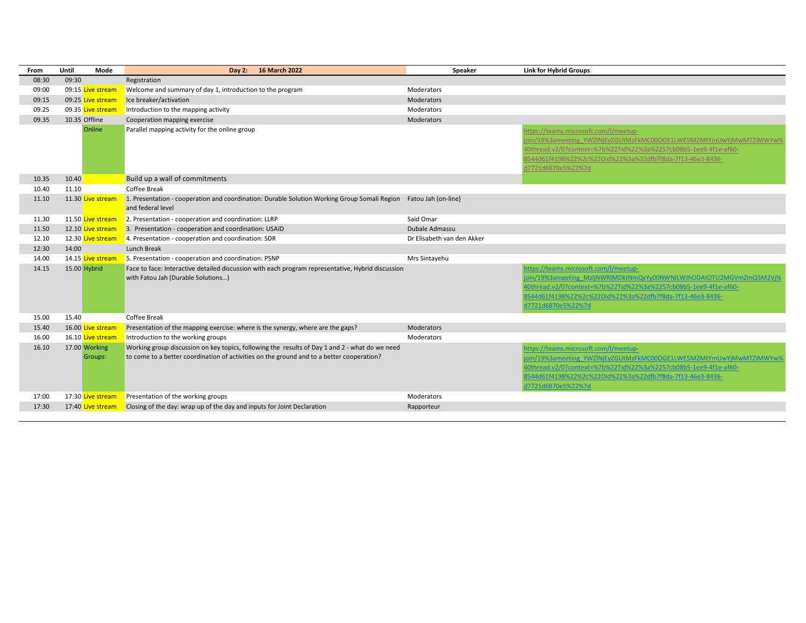| From  | Until<br>Mode            | Day 2: 16 March 2022                                                                                                                                                                        | Speaker                    | <b>Link for Hybrid Groups</b>                                                                                                                                                                                                                                       |
|-------|--------------------------|---------------------------------------------------------------------------------------------------------------------------------------------------------------------------------------------|----------------------------|---------------------------------------------------------------------------------------------------------------------------------------------------------------------------------------------------------------------------------------------------------------------|
| 08:30 | 09:30                    | Registration                                                                                                                                                                                |                            |                                                                                                                                                                                                                                                                     |
| 09:00 | 09:15 Live stream        | Welcome and summary of day 1, introduction to the program                                                                                                                                   | Moderators                 |                                                                                                                                                                                                                                                                     |
| 09:15 | 09:25 Live stream        | Ice breaker/activation                                                                                                                                                                      | Moderators                 |                                                                                                                                                                                                                                                                     |
| 09.25 | 09.35 Live stream        | Introduction to the mapping activity                                                                                                                                                        | Moderators                 |                                                                                                                                                                                                                                                                     |
| 09.35 | 10.35 Offline            | Cooperation mapping exercise                                                                                                                                                                | Moderators                 |                                                                                                                                                                                                                                                                     |
|       | Online                   | Parallel mapping activity for the online group                                                                                                                                              |                            | https://teams.microsoft.com/l/meetup-<br>oin/19%3ameeting YWZlNjEyZGUtMzFkMC00OGE1LWE5M2MtYmUwYjMwMTZiMWYw%<br>40thread.v2/0?context=%7b%22Tid%22%3a%2257cb08b5-1ee9-4f1e-af60-<br>8544d61f4198%22%2c%22Oid%22%3a%22dfb7f8da-7f13-46e3-8436-<br>d7721d6870e5%22%7d  |
| 10.35 | 10.40                    | Build up a wall of commitments                                                                                                                                                              |                            |                                                                                                                                                                                                                                                                     |
| 10.40 | 11.10                    | Coffee Break                                                                                                                                                                                |                            |                                                                                                                                                                                                                                                                     |
| 11.10 | 11.30 Live stream        | 1. Presentation - cooperation and coordination: Durable Solution Working Group Somali Region Fatou Jah (on-line)<br>and federal level                                                       |                            |                                                                                                                                                                                                                                                                     |
| 11.30 | 11.50 Live stream        | $\blacksquare$ 2. Presentation - cooperation and coordination: LLRP                                                                                                                         | Said Omar                  |                                                                                                                                                                                                                                                                     |
| 11.50 | 12.10 Live stream        | 3. Presentation - cooperation and coordination: USAID                                                                                                                                       | Dubale Admassu             |                                                                                                                                                                                                                                                                     |
| 12.10 | 12.30 Live stream        | $-4$ . Presentation - cooperation and coordination: SDR                                                                                                                                     | Dr Elisabeth van den Akker |                                                                                                                                                                                                                                                                     |
| 12:30 | 14:00                    | Lunch Break                                                                                                                                                                                 |                            |                                                                                                                                                                                                                                                                     |
| 14.00 | 14.15 Live stream        | 5. Presentation - cooperation and coordination: PSNP                                                                                                                                        | Mrs Sintayehu              |                                                                                                                                                                                                                                                                     |
| 14.15 | 15.00 Hybrid             | Face to face: Interactive detailed discussion with each program representative, Hybrid discussion<br>with Fatou Jah (Durable Solutions)                                                     |                            | https://teams.microsoft.com/l/meetup-<br>join/19%3ameeting MzljNWRIMDktNmQxYy00NWNiLWJhODAtOTU2MGVmZmQ5M2Vj%<br>40thread.v2/0?context=%7b%22Tid%22%3a%2257cb08b5-1ee9-4f1e-af60-<br>8544d61f4198%22%2c%22Oid%22%3a%22dfb7f8da-7f13-46e3-8436-<br>d7721d6870e5%22%7d |
| 15.00 | 15.40                    | Coffee Break                                                                                                                                                                                |                            |                                                                                                                                                                                                                                                                     |
| 15.40 | 16.00 Live stream        | Presentation of the mapping exercise: where is the synergy, where are the gaps?                                                                                                             | Moderators                 |                                                                                                                                                                                                                                                                     |
| 16.00 | 16.10 Live stream        | Introduction to the working groups                                                                                                                                                          | Moderators                 |                                                                                                                                                                                                                                                                     |
| 16.10 | 17.00 Working<br>Groups: | Working group discussion on key topics, following the results of Day 1 and 2 - what do we need<br>to come to a better coordination of activities on the ground and to a better cooperation? |                            | https://teams.microsoft.com/l/meetup-<br>join/19%3ameeting YWZINjEyZGUtMzFkMC00OGE1LWE5M2MtYmUwYjMwMTZiMWYw%<br>40thread.v2/0?context=%7b%22Tid%22%3a%2257cb08b5-1ee9-4f1e-af60-<br>8544d61f4198%22%2c%22Oid%22%3a%22dfb7f8da-7f13-46e3-8436-<br>d7721d6870e5%22%7d |
| 17:00 | 17:30 Live stream        | Presentation of the working groups                                                                                                                                                          | Moderators                 |                                                                                                                                                                                                                                                                     |
| 17:30 | 17:40 Live stream        | Closing of the day: wrap up of the day and inputs for Joint Declaration                                                                                                                     | Rapporteur                 |                                                                                                                                                                                                                                                                     |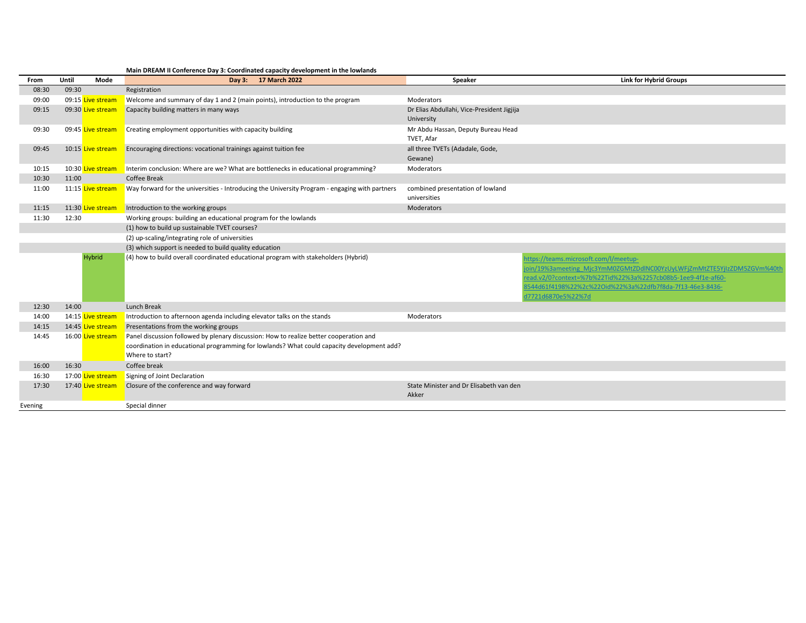| From    | Until | Mode              | Day 3: 17 March 2022                                                                                                                                                                                    | Speaker                                                  | <b>Link for Hybrid Groups</b>                                                                                                                                                                                                                                      |
|---------|-------|-------------------|---------------------------------------------------------------------------------------------------------------------------------------------------------------------------------------------------------|----------------------------------------------------------|--------------------------------------------------------------------------------------------------------------------------------------------------------------------------------------------------------------------------------------------------------------------|
| 08:30   | 09:30 |                   | Registration                                                                                                                                                                                            |                                                          |                                                                                                                                                                                                                                                                    |
| 09:00   |       | 09:15 Live stream | Welcome and summary of day 1 and 2 (main points), introduction to the program                                                                                                                           | Moderators                                               |                                                                                                                                                                                                                                                                    |
| 09:15   |       | 09:30 Live stream | Capacity building matters in many ways                                                                                                                                                                  | Dr Elias Abdullahi, Vice-President Jigjija<br>University |                                                                                                                                                                                                                                                                    |
| 09:30   |       | 09:45 Live stream | Creating employment opportunities with capacity building                                                                                                                                                | Mr Abdu Hassan, Deputy Bureau Head<br>TVET, Afar         |                                                                                                                                                                                                                                                                    |
| 09:45   |       | 10:15 Live stream | Encouraging directions: vocational trainings against tuition fee                                                                                                                                        | all three TVETs (Adadale, Gode,<br>Gewane)               |                                                                                                                                                                                                                                                                    |
| 10:15   |       | 10:30 Live stream | Interim conclusion: Where are we? What are bottlenecks in educational programming?                                                                                                                      | Moderators                                               |                                                                                                                                                                                                                                                                    |
| 10:30   | 11:00 |                   | <b>Coffee Break</b>                                                                                                                                                                                     |                                                          |                                                                                                                                                                                                                                                                    |
| 11:00   |       | 11:15 Live stream | Way forward for the universities - Introducing the University Program - engaging with partners                                                                                                          | combined presentation of lowland<br>universities         |                                                                                                                                                                                                                                                                    |
| 11:15   |       | 11:30 Live stream | Introduction to the working groups                                                                                                                                                                      | Moderators                                               |                                                                                                                                                                                                                                                                    |
| 11:30   | 12:30 |                   | Working groups: building an educational program for the lowlands                                                                                                                                        |                                                          |                                                                                                                                                                                                                                                                    |
|         |       |                   | (1) how to build up sustainable TVET courses?                                                                                                                                                           |                                                          |                                                                                                                                                                                                                                                                    |
|         |       |                   | (2) up-scaling/integrating role of universities                                                                                                                                                         |                                                          |                                                                                                                                                                                                                                                                    |
|         |       |                   | (3) which support is needed to build quality education                                                                                                                                                  |                                                          |                                                                                                                                                                                                                                                                    |
|         |       | Hybrid            | (4) how to build overall coordinated educational program with stakeholders (Hybrid)                                                                                                                     |                                                          | https://teams.microsoft.com/l/meetup-<br>oin/19%3ameeting Mjc3YmM0ZGMtZDdlNC00YzUyLWFjZmMtZTE5YjIzZDM5ZGVm%40th<br>read.v2/0?context=%7b%22Tid%22%3a%2257cb08b5-1ee9-4f1e-af60-<br>8544d61f4198%22%2c%22Oid%22%3a%22dfb7f8da-7f13-46e3-8436-<br>d7721d6870e5%22%7d |
| 12:30   | 14:00 |                   | Lunch Break                                                                                                                                                                                             |                                                          |                                                                                                                                                                                                                                                                    |
| 14:00   |       | 14:15 Live stream | Introduction to afternoon agenda including elevator talks on the stands                                                                                                                                 | Moderators                                               |                                                                                                                                                                                                                                                                    |
| 14:15   |       | 14:45 Live stream | Presentations from the working groups                                                                                                                                                                   |                                                          |                                                                                                                                                                                                                                                                    |
| 14:45   |       | 16:00 Live stream | Panel discussion followed by plenary discussion: How to realize better cooperation and<br>coordination in educational programming for lowlands? What could capacity development add?<br>Where to start? |                                                          |                                                                                                                                                                                                                                                                    |
| 16:00   | 16:30 |                   | Coffee break                                                                                                                                                                                            |                                                          |                                                                                                                                                                                                                                                                    |
| 16:30   |       | 17:00 Live stream | Signing of Joint Declaration                                                                                                                                                                            |                                                          |                                                                                                                                                                                                                                                                    |
| 17:30   |       | 17:40 Live stream | Closure of the conference and way forward                                                                                                                                                               | State Minister and Dr Elisabeth van den<br>Akker         |                                                                                                                                                                                                                                                                    |
| Evening |       |                   | Special dinner                                                                                                                                                                                          |                                                          |                                                                                                                                                                                                                                                                    |